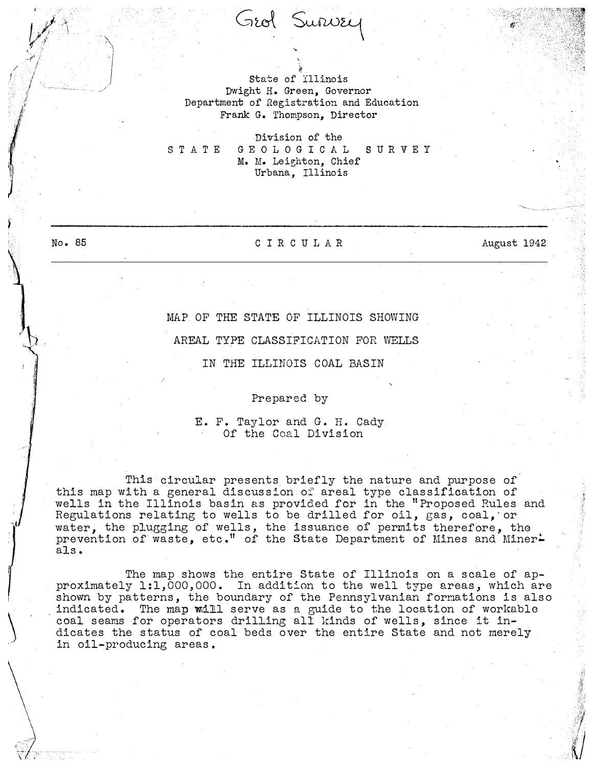## State of Illinois Dwight H. Green, Governor Department of Registration and Education Frank G. Thompson, Director

�

Grol Survey

Division of the STATE GEOLOGICAL SURVEY M. M. Lei�hton, Chief Urbana, Illinois

No. 85

I '

## CIRCULAR

August 1942

\_\_ , \_\_ ; ... - ·-

## MAP OF THE STATE OF ILLINOIS SHOWING

AREAL TYPE CLASSIFICATION FOR WELLS

IN THE ILLINOIS COAL BASIN

Prepared by

## E. F. Taylor and G. H. Cady Of the Coal Division

This circular presents briefly the nature and purpose of this map with a general discussion of areal type classification of wells in the Illinois basin as provided for in the "Proposed Rules and Regulations relating to wells to be drilled for oil, gas, coal, or water, the plugging of wells, the issuance of permits therefore, the prevention of waste, etc." of the State Department of Mines and Miner. als.

The map shows the entire State of Illinois on a scale of approximately 1:1,000,000. In addition to the well type areas, which are shown by patterns, the boundary of the Pennsylvanian formations is also indicated. The map will serve as a guide to the location of workable coal seams for operators drilling all kinds of wells, since it indicates the status of coal beds over the entire State and not merely in oil-producing areas.